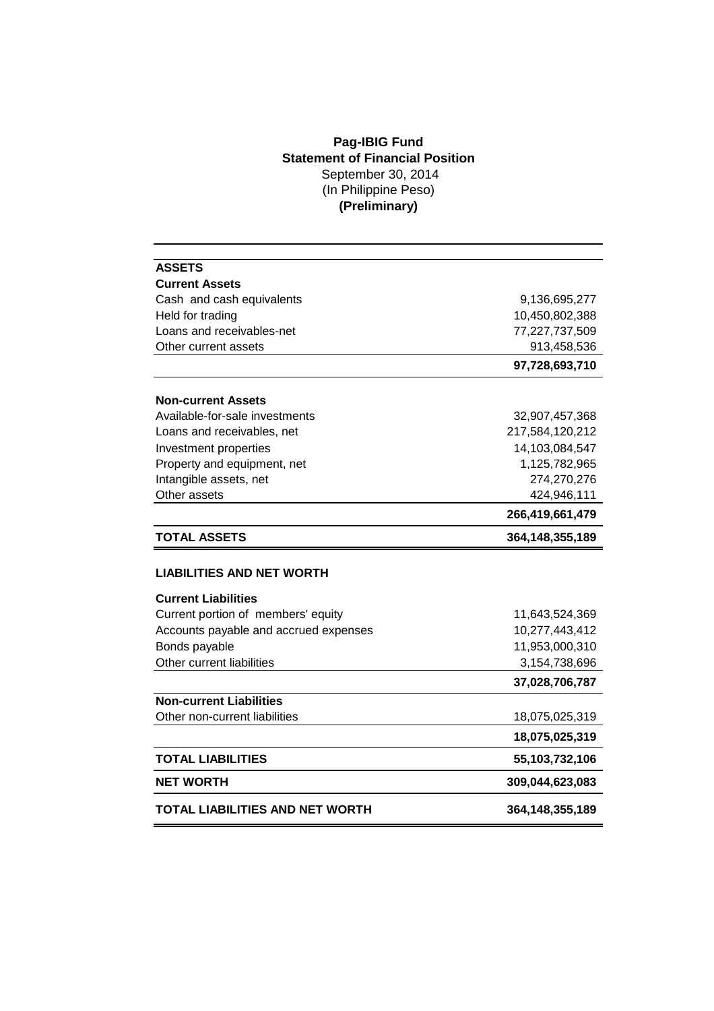## **Pag-IBIG Fund Statement of Financial Position** September 30, 2014 (In Philippine Peso) **(Preliminary)**

| <b>ASSETS</b>                          |                    |  |
|----------------------------------------|--------------------|--|
| <b>Current Assets</b>                  |                    |  |
| Cash and cash equivalents              | 9,136,695,277      |  |
| Held for trading                       | 10,450,802,388     |  |
| Loans and receivables-net              | 77,227,737,509     |  |
| Other current assets                   | 913,458,536        |  |
|                                        | 97,728,693,710     |  |
| <b>Non-current Assets</b>              |                    |  |
| Available-for-sale investments         | 32,907,457,368     |  |
| Loans and receivables, net             | 217,584,120,212    |  |
| Investment properties                  | 14,103,084,547     |  |
| Property and equipment, net            | 1,125,782,965      |  |
| Intangible assets, net                 | 274,270,276        |  |
| Other assets                           | 424,946,111        |  |
|                                        | 266,419,661,479    |  |
| <b>TOTAL ASSETS</b>                    | 364, 148, 355, 189 |  |
| <b>LIABILITIES AND NET WORTH</b>       |                    |  |
| <b>Current Liabilities</b>             |                    |  |
| Current portion of members' equity     | 11,643,524,369     |  |
| Accounts payable and accrued expenses  | 10,277,443,412     |  |
| Bonds payable                          | 11,953,000,310     |  |
| Other current liabilities              | 3,154,738,696      |  |
|                                        | 37,028,706,787     |  |
| <b>Non-current Liabilities</b>         |                    |  |
| Other non-current liabilities          | 18,075,025,319     |  |
|                                        | 18,075,025,319     |  |
| <b>TOTAL LIABILITIES</b>               | 55,103,732,106     |  |
| <b>NET WORTH</b>                       | 309,044,623,083    |  |
| <b>TOTAL LIABILITIES AND NET WORTH</b> | 364, 148, 355, 189 |  |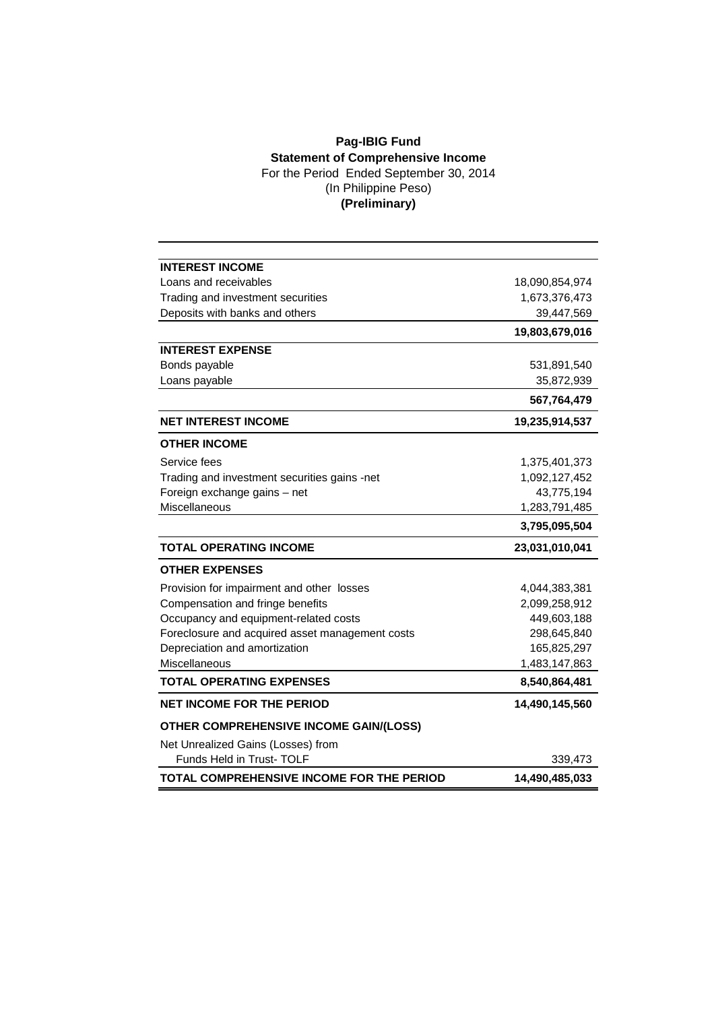## **Pag-IBIG Fund Statement of Comprehensive Income** For the Period Ended September 30, 2014 (In Philippine Peso) **(Preliminary)**

| <b>INTEREST INCOME</b>                          |                |
|-------------------------------------------------|----------------|
| Loans and receivables                           | 18,090,854,974 |
| Trading and investment securities               | 1,673,376,473  |
| Deposits with banks and others                  | 39,447,569     |
|                                                 | 19,803,679,016 |
| <b>INTEREST EXPENSE</b>                         |                |
| Bonds payable                                   | 531,891,540    |
| Loans payable                                   | 35,872,939     |
|                                                 | 567,764,479    |
| <b>NET INTEREST INCOME</b>                      | 19,235,914,537 |
| <b>OTHER INCOME</b>                             |                |
| Service fees                                    | 1,375,401,373  |
| Trading and investment securities gains -net    | 1,092,127,452  |
| Foreign exchange gains - net                    | 43,775,194     |
| Miscellaneous                                   | 1,283,791,485  |
|                                                 | 3,795,095,504  |
| <b>TOTAL OPERATING INCOME</b>                   | 23,031,010,041 |
| <b>OTHER EXPENSES</b>                           |                |
| Provision for impairment and other losses       | 4,044,383,381  |
| Compensation and fringe benefits                | 2,099,258,912  |
| Occupancy and equipment-related costs           | 449,603,188    |
| Foreclosure and acquired asset management costs | 298,645,840    |
| Depreciation and amortization                   | 165,825,297    |
| Miscellaneous                                   | 1,483,147,863  |
| <b>TOTAL OPERATING EXPENSES</b>                 | 8,540,864,481  |
| <b>NET INCOME FOR THE PERIOD</b>                | 14,490,145,560 |
| <b>OTHER COMPREHENSIVE INCOME GAIN/(LOSS)</b>   |                |
| Net Unrealized Gains (Losses) from              |                |
| Funds Held in Trust- TOLF                       | 339,473        |
| TOTAL COMPREHENSIVE INCOME FOR THE PERIOD       | 14,490,485,033 |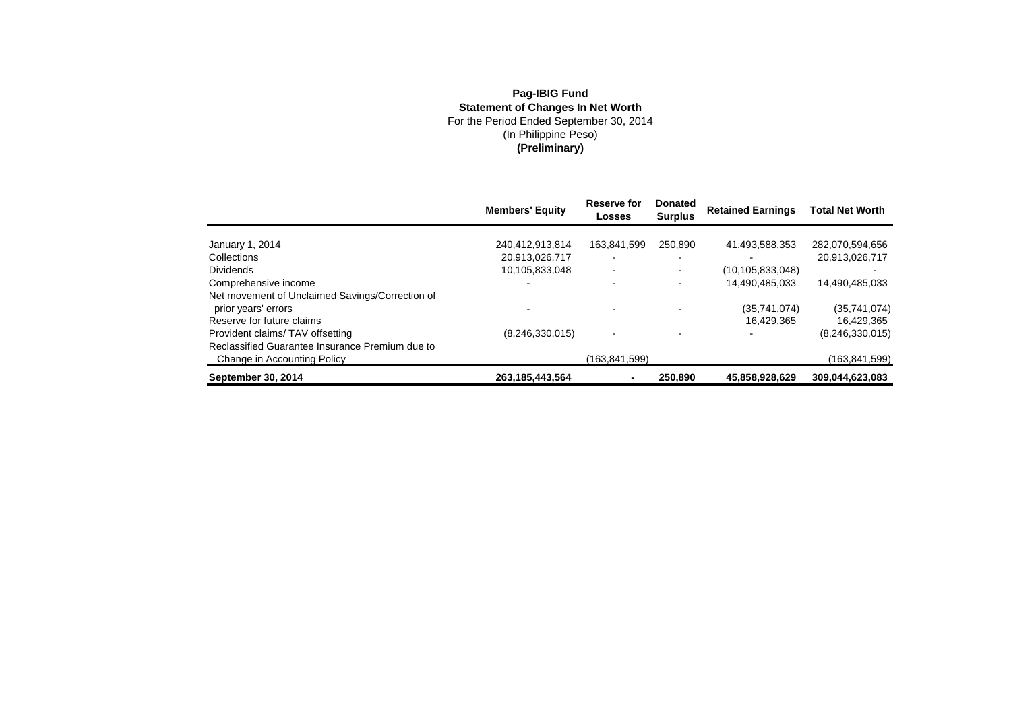## **Pag-IBIG FundStatement of Changes In Net Worth**<br>For the Period Ended September 30, 2014<br>(In Philippine Peso)<br>**(Preliminary)**

|                                                 | <b>Members' Equity</b> | Reserve for<br>Losses    | <b>Donated</b><br><b>Surplus</b> | <b>Retained Earnings</b> | <b>Total Net Worth</b> |
|-------------------------------------------------|------------------------|--------------------------|----------------------------------|--------------------------|------------------------|
|                                                 |                        |                          |                                  |                          |                        |
| January 1, 2014                                 | 240,412,913,814        | 163,841,599              | 250.890                          | 41,493,588,353           | 282,070,594,656        |
| Collections                                     | 20,913,026,717         | $\overline{\phantom{0}}$ |                                  |                          | 20,913,026,717         |
| <b>Dividends</b>                                | 10,105,833,048         | $\blacksquare$           |                                  | (10, 105, 833, 048)      |                        |
| Comprehensive income                            |                        | $\overline{\phantom{0}}$ |                                  | 14,490,485,033           | 14,490,485,033         |
| Net movement of Unclaimed Savings/Correction of |                        |                          |                                  |                          |                        |
| prior years' errors                             |                        | $\blacksquare$           |                                  | (35,741,074)             | (35,741,074)           |
| Reserve for future claims                       |                        |                          |                                  | 16,429,365               | 16,429,365             |
| Provident claims/TAV offsetting                 | (8,246,330,015)        | $\blacksquare$           |                                  |                          | (8,246,330,015)        |
| Reclassified Guarantee Insurance Premium due to |                        |                          |                                  |                          |                        |
| Change in Accounting Policy                     |                        | (163,841,599)            |                                  |                          | (163,841,599)          |
| September 30, 2014                              | 263.185.443.564        | ٠                        | 250,890                          | 45,858,928,629           | 309.044.623.083        |